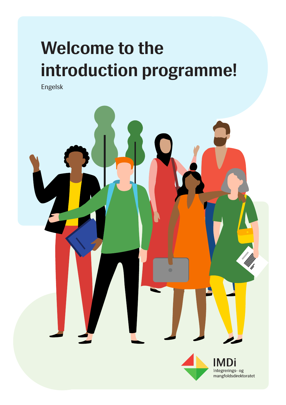# **Welcome to the introduction programme!**

Engelsk

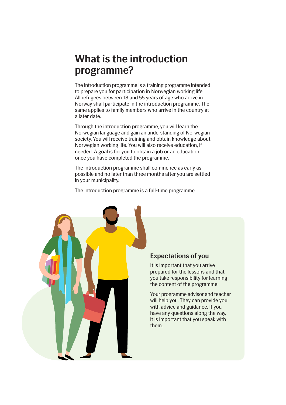#### **What is the introduction programme?**

The introduction programme is a training programme intended to prepare you for participation in Norwegian working life. All refugees between 18 and 55 years of age who arrive in Norway shall participate in the introduction programme. The same applies to family members who arrive in the country at a later date.

Through the introduction programme, you will learn the Norwegian language and gain an understanding of Norwegian society. You will receive training and obtain knowledge about Norwegian working life. You will also receive education, if needed. A goal is for you to obtain a job or an education once you have completed the programme.

The introduction programme shall commence as early as possible and no later than three months after you are settled in your municipality.

The introduction programme is a full-time programme.



#### **Expectations of you**

It is important that you arrive prepared for the lessons and that you take responsibility for learning the content of the programme.

Your programme advisor and teacher will help you. They can provide you with advice and guidance. If you have any questions along the way, it is important that you speak with them.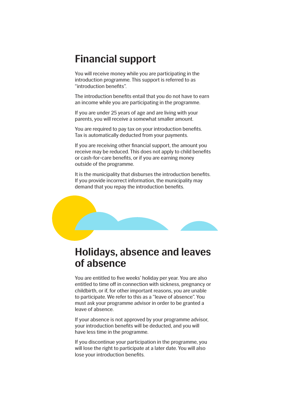#### **Financial support**

You will receive money while you are participating in the introduction programme. This support is referred to as "introduction benefits".

The introduction benefits entail that you do not have to earn an income while you are participating in the programme.

If you are under 25 years of age and are living with your parents, you will receive a somewhat smaller amount.

You are required to pay tax on your introduction benefits. Tax is automatically deducted from your payments.

If you are receiving other financial support, the amount you receive may be reduced. This does not apply to child benefits or cash-for-care benefits, or if you are earning money outside of the programme.

It is the municipality that disburses the introduction benefits. If you provide incorrect information, the municipality may demand that you repay the introduction benefits.



#### **Holidays, absence and leaves of absence**

You are entitled to five weeks' holiday per year. You are also entitled to time off in connection with sickness, pregnancy or childbirth, or if, for other important reasons, you are unable to participate. We refer to this as a "leave of absence". You must ask your programme advisor in order to be granted a leave of absence.

If your absence is not approved by your programme advisor, your introduction benefits will be deducted, and you will have less time in the programme.

If you discontinue your participation in the programme, you will lose the right to participate at a later date. You will also lose your introduction benefits.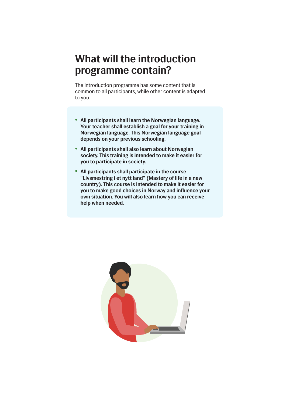#### **What will the introduction programme contain?**

The introduction programme has some content that is common to all participants, while other content is adapted to you.

- **• All participants shall learn the Norwegian language. Your teacher shall establish a goal for your training in Norwegian language. This Norwegian language goal depends on your previous schooling.**
- **• All participants shall also learn about Norwegian society. This training is intended to make it easier for you to participate in society.**
- **• All participants shall participate in the course "Livsmestring i et nytt land" (Mastery of life in a new country). This course is intended to make it easier for you to make good choices in Norway and influence your own situation. You will also learn how you can receive help when needed.**

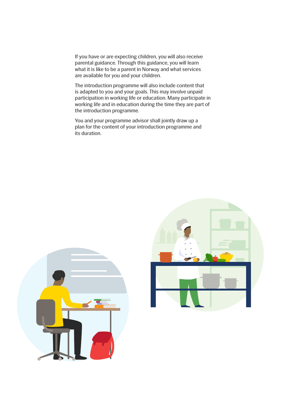If you have or are expecting children, you will also receive parental guidance. Through this guidance, you will learn what it is like to be a parent in Norway and what services are available for you and your children.

The introduction programme will also include content that is adapted to you and your goals. This may involve unpaid participation in working life or education. Many participate in working life and in education during the time they are part of the introduction programme.

You and your programme advisor shall jointly draw up a plan for the content of your introduction programme and its duration.



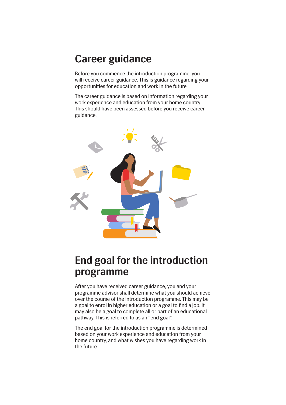#### **Career guidance**

Before you commence the introduction programme, you will receive career guidance. This is guidance regarding your opportunities for education and work in the future.

The career guidance is based on information regarding your work experience and education from your home country. This should have been assessed before you receive career guidance.



### **End goal for the introduction programme**

After you have received career guidance, you and your programme advisor shall determine what you should achieve over the course of the introduction programme. This may be a goal to enrol in higher education or a goal to find a job. It may also be a goal to complete all or part of an educational pathway. This is referred to as an "end goal".

The end goal for the introduction programme is determined based on your work experience and education from your home country, and what wishes you have regarding work in the future.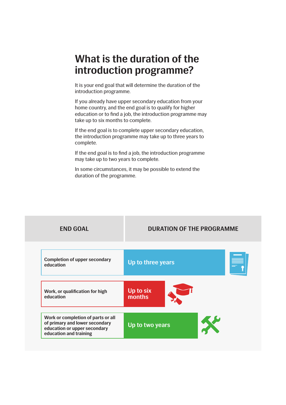#### **What is the duration of the introduction programme?**

It is your end goal that will determine the duration of the introduction programme.

If you already have upper secondary education from your home country, and the end goal is to qualify for higher education or to find a job, the introduction programme may take up to six months to complete.

If the end goal is to complete upper secondary education, the introduction programme may take up to three years to complete.

If the end goal is to find a job, the introduction programme may take up to two years to complete.

In some circumstances, it may be possible to extend the duration of the programme.

| <b>END GOAL</b>                                                                                                                | <b>DURATION OF THE PROGRAMME</b> |
|--------------------------------------------------------------------------------------------------------------------------------|----------------------------------|
| <b>Completion of upper secondary</b><br>education                                                                              | Up to three years                |
| Work, or qualification for high<br>education                                                                                   | Up to six<br>months              |
| Work or completion of parts or all<br>of primary and lower secondary<br>education or upper secondary<br>education and training | X<br>Up to two years             |